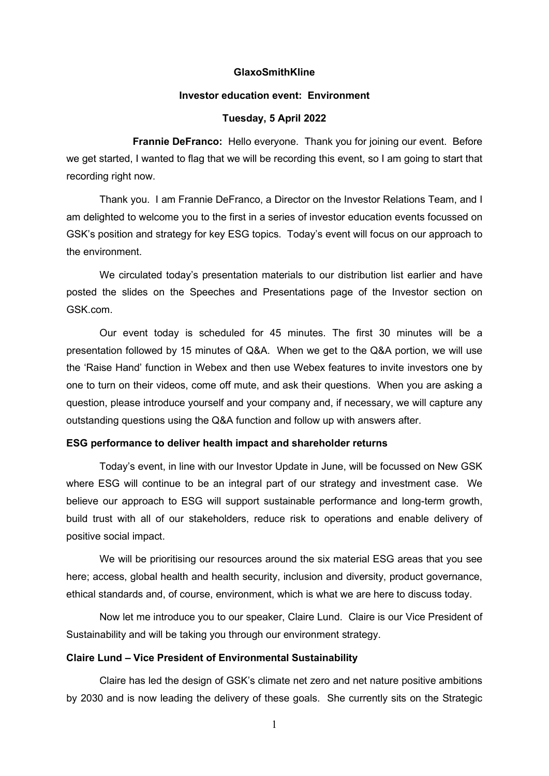#### **GlaxoSmithKline**

## **Investor education event: Environment**

# **Tuesday, 5 April 2022**

**Frannie DeFranco:** Hello everyone. Thank you for joining our event. Before we get started, I wanted to flag that we will be recording this event, so I am going to start that recording right now.

Thank you. I am Frannie DeFranco, a Director on the Investor Relations Team, and I am delighted to welcome you to the first in a series of investor education events focussed on GSK's position and strategy for key ESG topics. Today's event will focus on our approach to the environment.

We circulated today's presentation materials to our distribution list earlier and have posted the slides on the Speeches and Presentations page of the Investor section on GSK.com.

Our event today is scheduled for 45 minutes. The first 30 minutes will be a presentation followed by 15 minutes of Q&A. When we get to the Q&A portion, we will use the 'Raise Hand' function in Webex and then use Webex features to invite investors one by one to turn on their videos, come off mute, and ask their questions. When you are asking a question, please introduce yourself and your company and, if necessary, we will capture any outstanding questions using the Q&A function and follow up with answers after.

### **ESG performance to deliver health impact and shareholder returns**

Today's event, in line with our Investor Update in June, will be focussed on New GSK where ESG will continue to be an integral part of our strategy and investment case. We believe our approach to ESG will support sustainable performance and long-term growth, build trust with all of our stakeholders, reduce risk to operations and enable delivery of positive social impact.

We will be prioritising our resources around the six material ESG areas that you see here; access, global health and health security, inclusion and diversity, product governance, ethical standards and, of course, environment, which is what we are here to discuss today.

Now let me introduce you to our speaker, Claire Lund. Claire is our Vice President of Sustainability and will be taking you through our environment strategy.

## **Claire Lund – Vice President of Environmental Sustainability**

Claire has led the design of GSK's climate net zero and net nature positive ambitions by 2030 and is now leading the delivery of these goals. She currently sits on the Strategic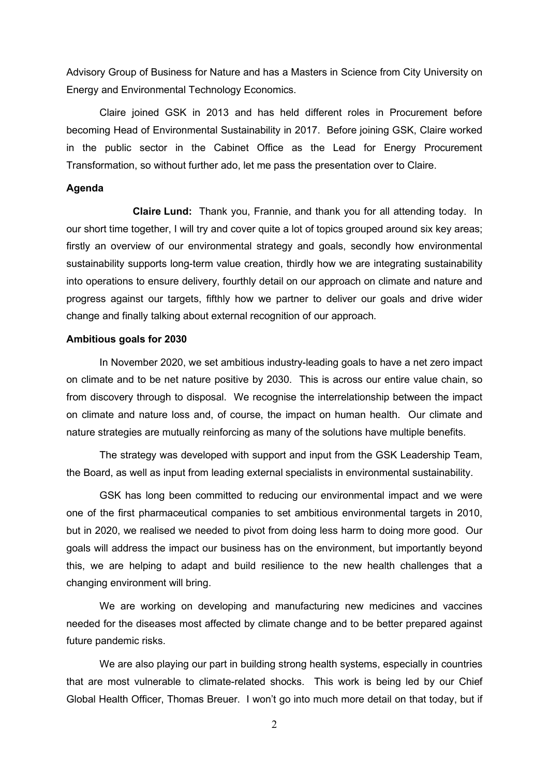Advisory Group of Business for Nature and has a Masters in Science from City University on Energy and Environmental Technology Economics.

Claire joined GSK in 2013 and has held different roles in Procurement before becoming Head of Environmental Sustainability in 2017. Before joining GSK, Claire worked in the public sector in the Cabinet Office as the Lead for Energy Procurement Transformation, so without further ado, let me pass the presentation over to Claire.

#### **Agenda**

**Claire Lund:** Thank you, Frannie, and thank you for all attending today. In our short time together, I will try and cover quite a lot of topics grouped around six key areas; firstly an overview of our environmental strategy and goals, secondly how environmental sustainability supports long-term value creation, thirdly how we are integrating sustainability into operations to ensure delivery, fourthly detail on our approach on climate and nature and progress against our targets, fifthly how we partner to deliver our goals and drive wider change and finally talking about external recognition of our approach.

## **Ambitious goals for 2030**

In November 2020, we set ambitious industry-leading goals to have a net zero impact on climate and to be net nature positive by 2030. This is across our entire value chain, so from discovery through to disposal. We recognise the interrelationship between the impact on climate and nature loss and, of course, the impact on human health. Our climate and nature strategies are mutually reinforcing as many of the solutions have multiple benefits.

The strategy was developed with support and input from the GSK Leadership Team, the Board, as well as input from leading external specialists in environmental sustainability.

GSK has long been committed to reducing our environmental impact and we were one of the first pharmaceutical companies to set ambitious environmental targets in 2010, but in 2020, we realised we needed to pivot from doing less harm to doing more good. Our goals will address the impact our business has on the environment, but importantly beyond this, we are helping to adapt and build resilience to the new health challenges that a changing environment will bring.

We are working on developing and manufacturing new medicines and vaccines needed for the diseases most affected by climate change and to be better prepared against future pandemic risks.

We are also playing our part in building strong health systems, especially in countries that are most vulnerable to climate-related shocks. This work is being led by our Chief Global Health Officer, Thomas Breuer. I won't go into much more detail on that today, but if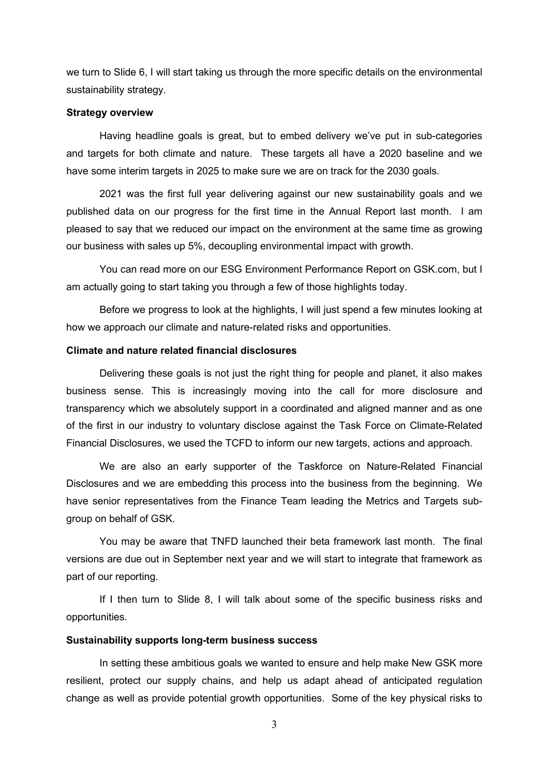we turn to Slide 6, I will start taking us through the more specific details on the environmental sustainability strategy.

## **Strategy overview**

Having headline goals is great, but to embed delivery we've put in sub-categories and targets for both climate and nature. These targets all have a 2020 baseline and we have some interim targets in 2025 to make sure we are on track for the 2030 goals.

2021 was the first full year delivering against our new sustainability goals and we published data on our progress for the first time in the Annual Report last month. I am pleased to say that we reduced our impact on the environment at the same time as growing our business with sales up 5%, decoupling environmental impact with growth.

You can read more on our ESG Environment Performance Report on GSK.com, but I am actually going to start taking you through a few of those highlights today.

Before we progress to look at the highlights, I will just spend a few minutes looking at how we approach our climate and nature-related risks and opportunities.

# **Climate and nature related financial disclosures**

Delivering these goals is not just the right thing for people and planet, it also makes business sense. This is increasingly moving into the call for more disclosure and transparency which we absolutely support in a coordinated and aligned manner and as one of the first in our industry to voluntary disclose against the Task Force on Climate-Related Financial Disclosures, we used the TCFD to inform our new targets, actions and approach.

We are also an early supporter of the Taskforce on Nature-Related Financial Disclosures and we are embedding this process into the business from the beginning. We have senior representatives from the Finance Team leading the Metrics and Targets subgroup on behalf of GSK.

You may be aware that TNFD launched their beta framework last month. The final versions are due out in September next year and we will start to integrate that framework as part of our reporting.

If I then turn to Slide 8, I will talk about some of the specific business risks and opportunities.

## **Sustainability supports long-term business success**

In setting these ambitious goals we wanted to ensure and help make New GSK more resilient, protect our supply chains, and help us adapt ahead of anticipated regulation change as well as provide potential growth opportunities. Some of the key physical risks to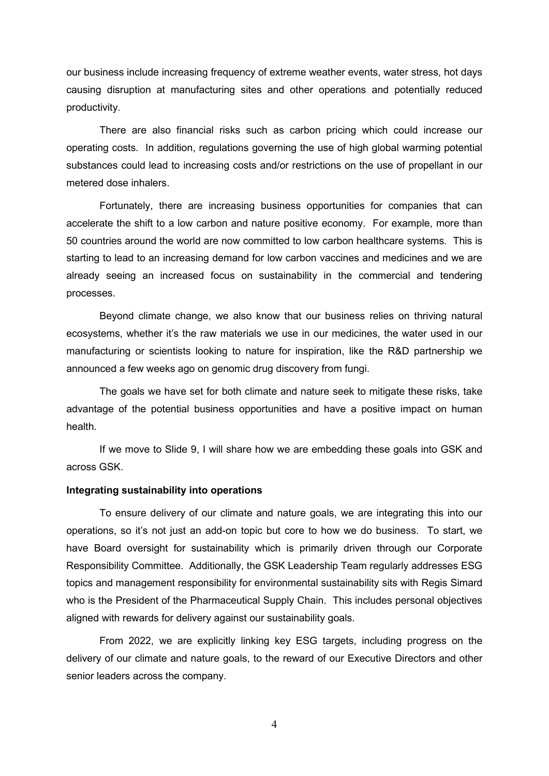our business include increasing frequency of extreme weather events, water stress, hot days causing disruption at manufacturing sites and other operations and potentially reduced productivity.

There are also financial risks such as carbon pricing which could increase our operating costs. In addition, regulations governing the use of high global warming potential substances could lead to increasing costs and/or restrictions on the use of propellant in our metered dose inhalers.

Fortunately, there are increasing business opportunities for companies that can accelerate the shift to a low carbon and nature positive economy. For example, more than 50 countries around the world are now committed to low carbon healthcare systems. This is starting to lead to an increasing demand for low carbon vaccines and medicines and we are already seeing an increased focus on sustainability in the commercial and tendering processes.

Beyond climate change, we also know that our business relies on thriving natural ecosystems, whether it's the raw materials we use in our medicines, the water used in our manufacturing or scientists looking to nature for inspiration, like the R&D partnership we announced a few weeks ago on genomic drug discovery from fungi.

The goals we have set for both climate and nature seek to mitigate these risks, take advantage of the potential business opportunities and have a positive impact on human health.

If we move to Slide 9, I will share how we are embedding these goals into GSK and across GSK.

## **Integrating sustainability into operations**

To ensure delivery of our climate and nature goals, we are integrating this into our operations, so it's not just an add-on topic but core to how we do business. To start, we have Board oversight for sustainability which is primarily driven through our Corporate Responsibility Committee. Additionally, the GSK Leadership Team regularly addresses ESG topics and management responsibility for environmental sustainability sits with Regis Simard who is the President of the Pharmaceutical Supply Chain. This includes personal objectives aligned with rewards for delivery against our sustainability goals.

From 2022, we are explicitly linking key ESG targets, including progress on the delivery of our climate and nature goals, to the reward of our Executive Directors and other senior leaders across the company.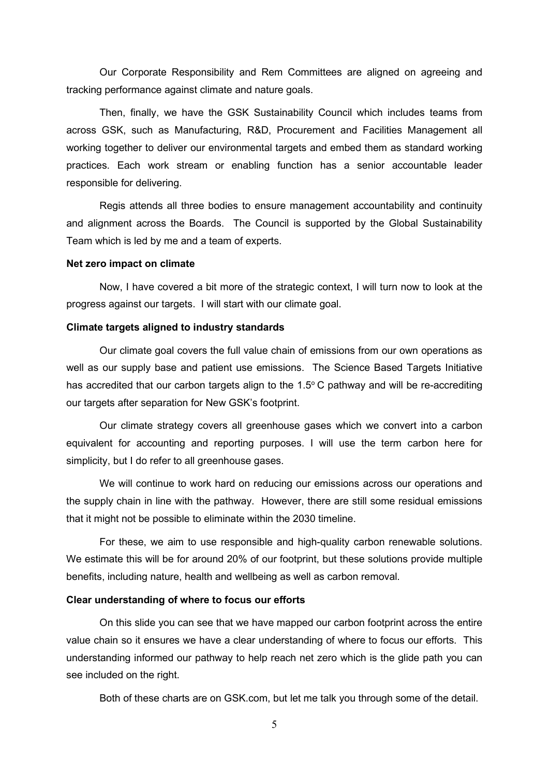Our Corporate Responsibility and Rem Committees are aligned on agreeing and tracking performance against climate and nature goals.

Then, finally, we have the GSK Sustainability Council which includes teams from across GSK, such as Manufacturing, R&D, Procurement and Facilities Management all working together to deliver our environmental targets and embed them as standard working practices. Each work stream or enabling function has a senior accountable leader responsible for delivering.

Regis attends all three bodies to ensure management accountability and continuity and alignment across the Boards. The Council is supported by the Global Sustainability Team which is led by me and a team of experts.

#### **Net zero impact on climate**

Now, I have covered a bit more of the strategic context, I will turn now to look at the progress against our targets. I will start with our climate goal.

### **Climate targets aligned to industry standards**

Our climate goal covers the full value chain of emissions from our own operations as well as our supply base and patient use emissions. The Science Based Targets Initiative has accredited that our carbon targets align to the 1.5 $\degree$ C pathway and will be re-accrediting our targets after separation for New GSK's footprint.

Our climate strategy covers all greenhouse gases which we convert into a carbon equivalent for accounting and reporting purposes. I will use the term carbon here for simplicity, but I do refer to all greenhouse gases.

We will continue to work hard on reducing our emissions across our operations and the supply chain in line with the pathway. However, there are still some residual emissions that it might not be possible to eliminate within the 2030 timeline.

For these, we aim to use responsible and high-quality carbon renewable solutions. We estimate this will be for around 20% of our footprint, but these solutions provide multiple benefits, including nature, health and wellbeing as well as carbon removal.

## **Clear understanding of where to focus our efforts**

On this slide you can see that we have mapped our carbon footprint across the entire value chain so it ensures we have a clear understanding of where to focus our efforts. This understanding informed our pathway to help reach net zero which is the glide path you can see included on the right.

Both of these charts are on GSK.com, but let me talk you through some of the detail.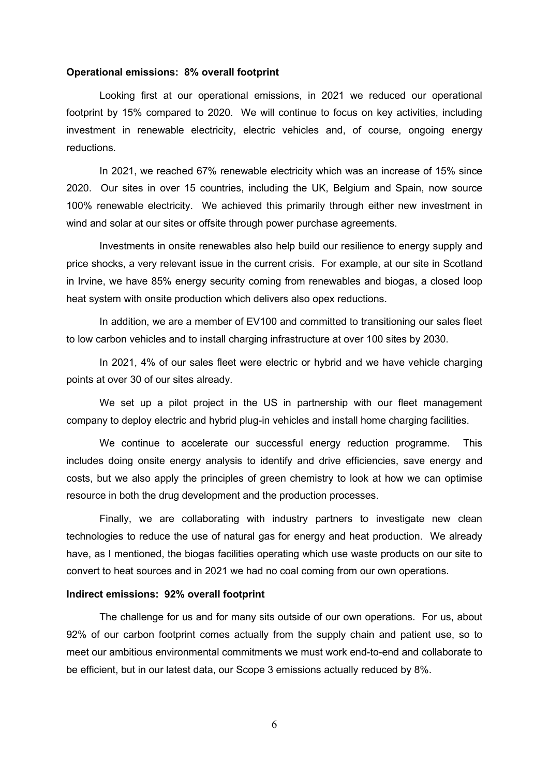#### **Operational emissions: 8% overall footprint**

Looking first at our operational emissions, in 2021 we reduced our operational footprint by 15% compared to 2020. We will continue to focus on key activities, including investment in renewable electricity, electric vehicles and, of course, ongoing energy reductions.

In 2021, we reached 67% renewable electricity which was an increase of 15% since 2020. Our sites in over 15 countries, including the UK, Belgium and Spain, now source 100% renewable electricity. We achieved this primarily through either new investment in wind and solar at our sites or offsite through power purchase agreements.

Investments in onsite renewables also help build our resilience to energy supply and price shocks, a very relevant issue in the current crisis. For example, at our site in Scotland in Irvine, we have 85% energy security coming from renewables and biogas, a closed loop heat system with onsite production which delivers also opex reductions.

In addition, we are a member of EV100 and committed to transitioning our sales fleet to low carbon vehicles and to install charging infrastructure at over 100 sites by 2030.

In 2021, 4% of our sales fleet were electric or hybrid and we have vehicle charging points at over 30 of our sites already.

We set up a pilot project in the US in partnership with our fleet management company to deploy electric and hybrid plug-in vehicles and install home charging facilities.

We continue to accelerate our successful energy reduction programme. This includes doing onsite energy analysis to identify and drive efficiencies, save energy and costs, but we also apply the principles of green chemistry to look at how we can optimise resource in both the drug development and the production processes.

Finally, we are collaborating with industry partners to investigate new clean technologies to reduce the use of natural gas for energy and heat production. We already have, as I mentioned, the biogas facilities operating which use waste products on our site to convert to heat sources and in 2021 we had no coal coming from our own operations.

### **Indirect emissions: 92% overall footprint**

The challenge for us and for many sits outside of our own operations. For us, about 92% of our carbon footprint comes actually from the supply chain and patient use, so to meet our ambitious environmental commitments we must work end-to-end and collaborate to be efficient, but in our latest data, our Scope 3 emissions actually reduced by 8%.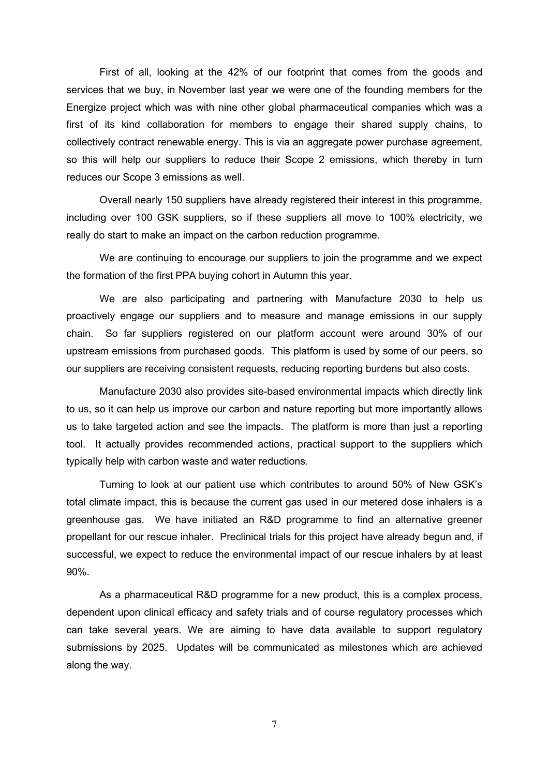First of all, looking at the 42% of our footprint that comes from the goods and services that we buy, in November last year we were one of the founding members for the Energize project which was with nine other global pharmaceutical companies which was a first of its kind collaboration for members to engage their shared supply chains, to collectively contract renewable energy. This is via an aggregate power purchase agreement, so this will help our suppliers to reduce their Scope 2 emissions, which thereby in turn reduces our Scope 3 emissions as well.

Overall nearly 150 suppliers have already registered their interest in this programme, including over 100 GSK suppliers, so if these suppliers all move to 100% electricity, we really do start to make an impact on the carbon reduction programme.

We are continuing to encourage our suppliers to join the programme and we expect the formation of the first PPA buying cohort in Autumn this year.

We are also participating and partnering with Manufacture 2030 to help us proactively engage our suppliers and to measure and manage emissions in our supply chain. So far suppliers registered on our platform account were around 30% of our upstream emissions from purchased goods. This platform is used by some of our peers, so our suppliers are receiving consistent requests, reducing reporting burdens but also costs.

Manufacture 2030 also provides site-based environmental impacts which directly link to us, so it can help us improve our carbon and nature reporting but more importantly allows us to take targeted action and see the impacts. The platform is more than just a reporting tool. It actually provides recommended actions, practical support to the suppliers which typically help with carbon waste and water reductions.

Turning to look at our patient use which contributes to around 50% of New GSK's total climate impact, this is because the current gas used in our metered dose inhalers is a greenhouse gas. We have initiated an R&D programme to find an alternative greener propellant for our rescue inhaler. Preclinical trials for this project have already begun and, if successful, we expect to reduce the environmental impact of our rescue inhalers by at least 90%.

As a pharmaceutical R&D programme for a new product, this is a complex process, dependent upon clinical efficacy and safety trials and of course regulatory processes which can take several years. We are aiming to have data available to support regulatory submissions by 2025. Updates will be communicated as milestones which are achieved along the way.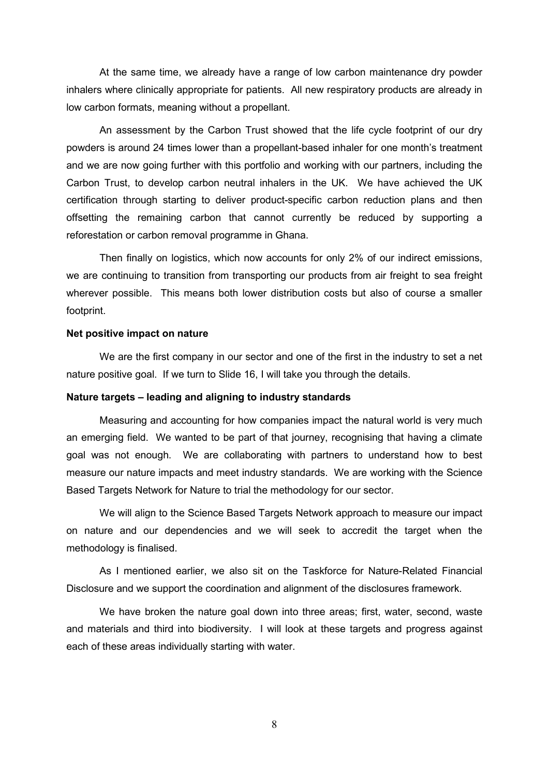At the same time, we already have a range of low carbon maintenance dry powder inhalers where clinically appropriate for patients. All new respiratory products are already in low carbon formats, meaning without a propellant.

An assessment by the Carbon Trust showed that the life cycle footprint of our dry powders is around 24 times lower than a propellant-based inhaler for one month's treatment and we are now going further with this portfolio and working with our partners, including the Carbon Trust, to develop carbon neutral inhalers in the UK. We have achieved the UK certification through starting to deliver product-specific carbon reduction plans and then offsetting the remaining carbon that cannot currently be reduced by supporting a reforestation or carbon removal programme in Ghana.

Then finally on logistics, which now accounts for only 2% of our indirect emissions, we are continuing to transition from transporting our products from air freight to sea freight wherever possible. This means both lower distribution costs but also of course a smaller footprint.

#### **Net positive impact on nature**

We are the first company in our sector and one of the first in the industry to set a net nature positive goal. If we turn to Slide 16, I will take you through the details.

## **Nature targets – leading and aligning to industry standards**

Measuring and accounting for how companies impact the natural world is very much an emerging field. We wanted to be part of that journey, recognising that having a climate goal was not enough. We are collaborating with partners to understand how to best measure our nature impacts and meet industry standards. We are working with the Science Based Targets Network for Nature to trial the methodology for our sector.

We will align to the Science Based Targets Network approach to measure our impact on nature and our dependencies and we will seek to accredit the target when the methodology is finalised.

As I mentioned earlier, we also sit on the Taskforce for Nature-Related Financial Disclosure and we support the coordination and alignment of the disclosures framework.

We have broken the nature goal down into three areas; first, water, second, waste and materials and third into biodiversity. I will look at these targets and progress against each of these areas individually starting with water.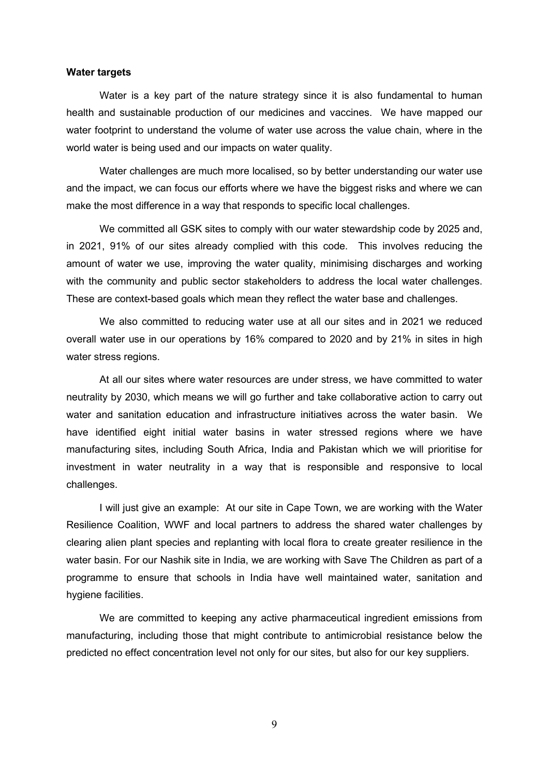#### **Water targets**

Water is a key part of the nature strategy since it is also fundamental to human health and sustainable production of our medicines and vaccines. We have mapped our water footprint to understand the volume of water use across the value chain, where in the world water is being used and our impacts on water quality.

Water challenges are much more localised, so by better understanding our water use and the impact, we can focus our efforts where we have the biggest risks and where we can make the most difference in a way that responds to specific local challenges.

We committed all GSK sites to comply with our water stewardship code by 2025 and, in 2021, 91% of our sites already complied with this code. This involves reducing the amount of water we use, improving the water quality, minimising discharges and working with the community and public sector stakeholders to address the local water challenges. These are context-based goals which mean they reflect the water base and challenges.

We also committed to reducing water use at all our sites and in 2021 we reduced overall water use in our operations by 16% compared to 2020 and by 21% in sites in high water stress regions.

At all our sites where water resources are under stress, we have committed to water neutrality by 2030, which means we will go further and take collaborative action to carry out water and sanitation education and infrastructure initiatives across the water basin. We have identified eight initial water basins in water stressed regions where we have manufacturing sites, including South Africa, India and Pakistan which we will prioritise for investment in water neutrality in a way that is responsible and responsive to local challenges.

I will just give an example: At our site in Cape Town, we are working with the Water Resilience Coalition, WWF and local partners to address the shared water challenges by clearing alien plant species and replanting with local flora to create greater resilience in the water basin. For our Nashik site in India, we are working with Save The Children as part of a programme to ensure that schools in India have well maintained water, sanitation and hygiene facilities.

We are committed to keeping any active pharmaceutical ingredient emissions from manufacturing, including those that might contribute to antimicrobial resistance below the predicted no effect concentration level not only for our sites, but also for our key suppliers.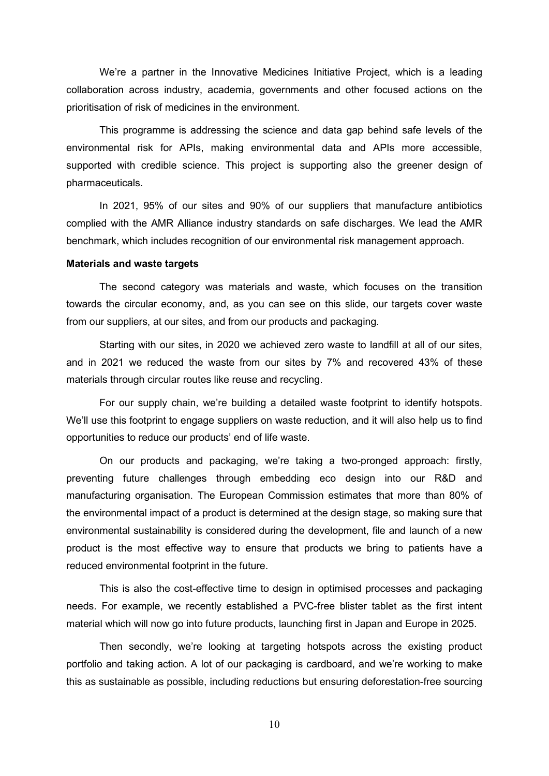We're a partner in the Innovative Medicines Initiative Project, which is a leading collaboration across industry, academia, governments and other focused actions on the prioritisation of risk of medicines in the environment.

This programme is addressing the science and data gap behind safe levels of the environmental risk for APIs, making environmental data and APIs more accessible, supported with credible science. This project is supporting also the greener design of pharmaceuticals.

In 2021, 95% of our sites and 90% of our suppliers that manufacture antibiotics complied with the AMR Alliance industry standards on safe discharges. We lead the AMR benchmark, which includes recognition of our environmental risk management approach.

#### **Materials and waste targets**

The second category was materials and waste, which focuses on the transition towards the circular economy, and, as you can see on this slide, our targets cover waste from our suppliers, at our sites, and from our products and packaging.

Starting with our sites, in 2020 we achieved zero waste to landfill at all of our sites, and in 2021 we reduced the waste from our sites by 7% and recovered 43% of these materials through circular routes like reuse and recycling.

For our supply chain, we're building a detailed waste footprint to identify hotspots. We'll use this footprint to engage suppliers on waste reduction, and it will also help us to find opportunities to reduce our products' end of life waste.

On our products and packaging, we're taking a two-pronged approach: firstly, preventing future challenges through embedding eco design into our R&D and manufacturing organisation. The European Commission estimates that more than 80% of the environmental impact of a product is determined at the design stage, so making sure that environmental sustainability is considered during the development, file and launch of a new product is the most effective way to ensure that products we bring to patients have a reduced environmental footprint in the future.

This is also the cost-effective time to design in optimised processes and packaging needs. For example, we recently established a PVC-free blister tablet as the first intent material which will now go into future products, launching first in Japan and Europe in 2025.

Then secondly, we're looking at targeting hotspots across the existing product portfolio and taking action. A lot of our packaging is cardboard, and we're working to make this as sustainable as possible, including reductions but ensuring deforestation-free sourcing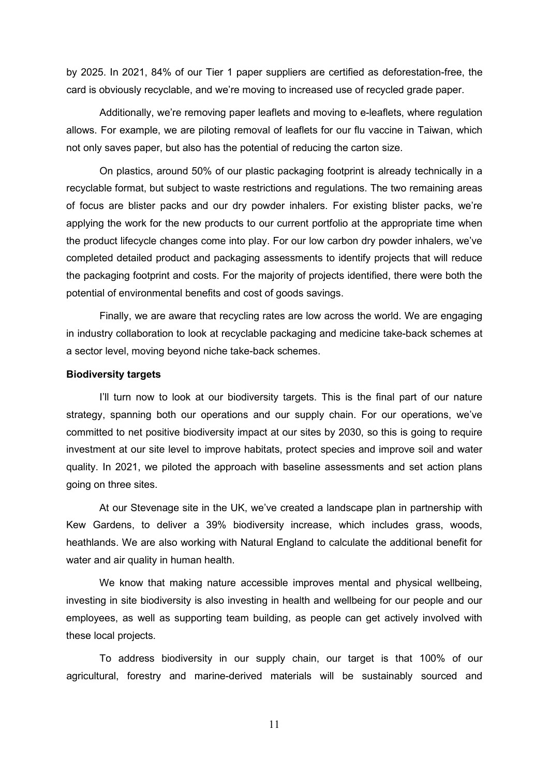by 2025. In 2021, 84% of our Tier 1 paper suppliers are certified as deforestation-free, the card is obviously recyclable, and we're moving to increased use of recycled grade paper.

Additionally, we're removing paper leaflets and moving to e-leaflets, where regulation allows. For example, we are piloting removal of leaflets for our flu vaccine in Taiwan, which not only saves paper, but also has the potential of reducing the carton size.

On plastics, around 50% of our plastic packaging footprint is already technically in a recyclable format, but subject to waste restrictions and regulations. The two remaining areas of focus are blister packs and our dry powder inhalers. For existing blister packs, we're applying the work for the new products to our current portfolio at the appropriate time when the product lifecycle changes come into play. For our low carbon dry powder inhalers, we've completed detailed product and packaging assessments to identify projects that will reduce the packaging footprint and costs. For the majority of projects identified, there were both the potential of environmental benefits and cost of goods savings.

Finally, we are aware that recycling rates are low across the world. We are engaging in industry collaboration to look at recyclable packaging and medicine take-back schemes at a sector level, moving beyond niche take-back schemes.

#### **Biodiversity targets**

I'll turn now to look at our biodiversity targets. This is the final part of our nature strategy, spanning both our operations and our supply chain. For our operations, we've committed to net positive biodiversity impact at our sites by 2030, so this is going to require investment at our site level to improve habitats, protect species and improve soil and water quality. In 2021, we piloted the approach with baseline assessments and set action plans going on three sites.

At our Stevenage site in the UK, we've created a landscape plan in partnership with Kew Gardens, to deliver a 39% biodiversity increase, which includes grass, woods, heathlands. We are also working with Natural England to calculate the additional benefit for water and air quality in human health.

We know that making nature accessible improves mental and physical wellbeing, investing in site biodiversity is also investing in health and wellbeing for our people and our employees, as well as supporting team building, as people can get actively involved with these local projects.

To address biodiversity in our supply chain, our target is that 100% of our agricultural, forestry and marine-derived materials will be sustainably sourced and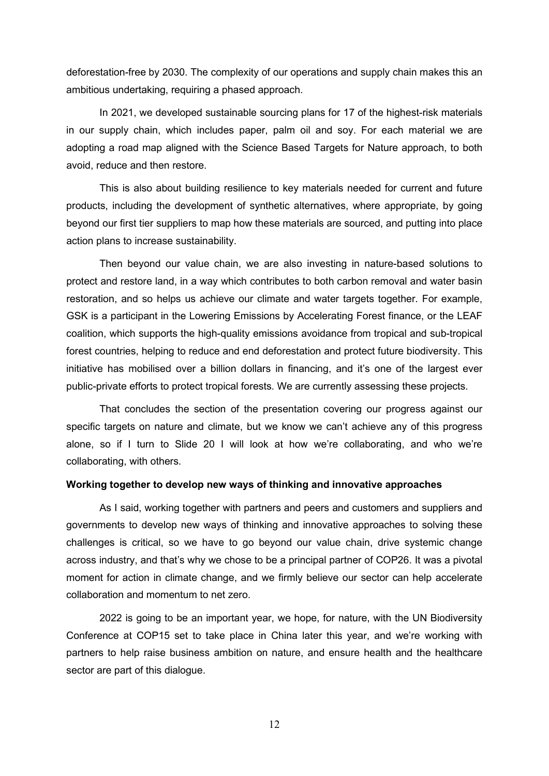deforestation-free by 2030. The complexity of our operations and supply chain makes this an ambitious undertaking, requiring a phased approach.

In 2021, we developed sustainable sourcing plans for 17 of the highest-risk materials in our supply chain, which includes paper, palm oil and soy. For each material we are adopting a road map aligned with the Science Based Targets for Nature approach, to both avoid, reduce and then restore.

This is also about building resilience to key materials needed for current and future products, including the development of synthetic alternatives, where appropriate, by going beyond our first tier suppliers to map how these materials are sourced, and putting into place action plans to increase sustainability.

Then beyond our value chain, we are also investing in nature-based solutions to protect and restore land, in a way which contributes to both carbon removal and water basin restoration, and so helps us achieve our climate and water targets together. For example, GSK is a participant in the Lowering Emissions by Accelerating Forest finance, or the LEAF coalition, which supports the high-quality emissions avoidance from tropical and sub-tropical forest countries, helping to reduce and end deforestation and protect future biodiversity. This initiative has mobilised over a billion dollars in financing, and it's one of the largest ever public-private efforts to protect tropical forests. We are currently assessing these projects.

That concludes the section of the presentation covering our progress against our specific targets on nature and climate, but we know we can't achieve any of this progress alone, so if I turn to Slide 20 I will look at how we're collaborating, and who we're collaborating, with others.

### **Working together to develop new ways of thinking and innovative approaches**

As I said, working together with partners and peers and customers and suppliers and governments to develop new ways of thinking and innovative approaches to solving these challenges is critical, so we have to go beyond our value chain, drive systemic change across industry, and that's why we chose to be a principal partner of COP26. It was a pivotal moment for action in climate change, and we firmly believe our sector can help accelerate collaboration and momentum to net zero.

2022 is going to be an important year, we hope, for nature, with the UN Biodiversity Conference at COP15 set to take place in China later this year, and we're working with partners to help raise business ambition on nature, and ensure health and the healthcare sector are part of this dialogue.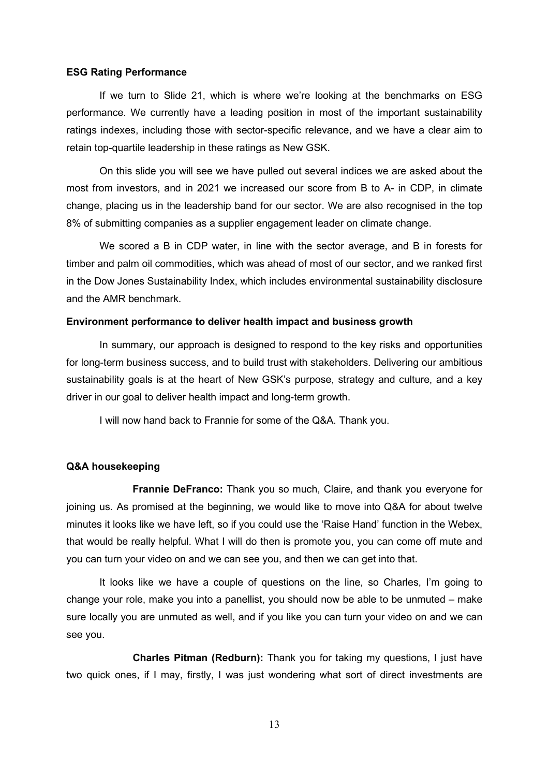#### **ESG Rating Performance**

If we turn to Slide 21, which is where we're looking at the benchmarks on ESG performance. We currently have a leading position in most of the important sustainability ratings indexes, including those with sector-specific relevance, and we have a clear aim to retain top-quartile leadership in these ratings as New GSK.

On this slide you will see we have pulled out several indices we are asked about the most from investors, and in 2021 we increased our score from B to A- in CDP, in climate change, placing us in the leadership band for our sector. We are also recognised in the top 8% of submitting companies as a supplier engagement leader on climate change.

We scored a B in CDP water, in line with the sector average, and B in forests for timber and palm oil commodities, which was ahead of most of our sector, and we ranked first in the Dow Jones Sustainability Index, which includes environmental sustainability disclosure and the AMR benchmark.

### **Environment performance to deliver health impact and business growth**

In summary, our approach is designed to respond to the key risks and opportunities for long-term business success, and to build trust with stakeholders. Delivering our ambitious sustainability goals is at the heart of New GSK's purpose, strategy and culture, and a key driver in our goal to deliver health impact and long-term growth.

I will now hand back to Frannie for some of the Q&A. Thank you.

#### **Q&A housekeeping**

**Frannie DeFranco:** Thank you so much, Claire, and thank you everyone for joining us. As promised at the beginning, we would like to move into Q&A for about twelve minutes it looks like we have left, so if you could use the 'Raise Hand' function in the Webex, that would be really helpful. What I will do then is promote you, you can come off mute and you can turn your video on and we can see you, and then we can get into that.

It looks like we have a couple of questions on the line, so Charles, I'm going to change your role, make you into a panellist, you should now be able to be unmuted – make sure locally you are unmuted as well, and if you like you can turn your video on and we can see you.

**Charles Pitman (Redburn):** Thank you for taking my questions, I just have two quick ones, if I may, firstly, I was just wondering what sort of direct investments are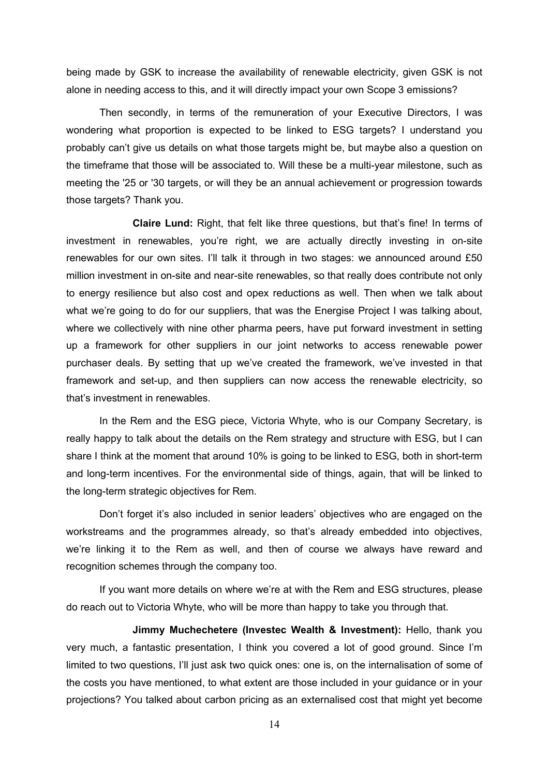being made by GSK to increase the availability of renewable electricity, given GSK is not alone in needing access to this, and it will directly impact your own Scope 3 emissions?

Then secondly, in terms of the remuneration of your Executive Directors, I was wondering what proportion is expected to be linked to ESG targets? I understand you probably can't give us details on what those targets might be, but maybe also a question on the timeframe that those will be associated to. Will these be a multi-year milestone, such as meeting the '25 or '30 targets, or will they be an annual achievement or progression towards those targets? Thank you.

**Claire Lund:** Right, that felt like three questions, but that's fine! In terms of investment in renewables, you're right, we are actually directly investing in on-site renewables for our own sites. I'll talk it through in two stages: we announced around £50 million investment in on-site and near-site renewables, so that really does contribute not only to energy resilience but also cost and opex reductions as well. Then when we talk about what we're going to do for our suppliers, that was the Energise Project I was talking about, where we collectively with nine other pharma peers, have put forward investment in setting up a framework for other suppliers in our joint networks to access renewable power purchaser deals. By setting that up we've created the framework, we've invested in that framework and set-up, and then suppliers can now access the renewable electricity, so that's investment in renewables.

In the Rem and the ESG piece, Victoria Whyte, who is our Company Secretary, is really happy to talk about the details on the Rem strategy and structure with ESG, but I can share I think at the moment that around 10% is going to be linked to ESG, both in short-term and long-term incentives. For the environmental side of things, again, that will be linked to the long-term strategic objectives for Rem.

Don't forget it's also included in senior leaders' objectives who are engaged on the workstreams and the programmes already, so that's already embedded into objectives, we're linking it to the Rem as well, and then of course we always have reward and recognition schemes through the company too.

If you want more details on where we're at with the Rem and ESG structures, please do reach out to Victoria Whyte, who will be more than happy to take you through that.

**Jimmy Muchechetere (Investec Wealth & Investment):** Hello, thank you very much, a fantastic presentation, I think you covered a lot of good ground. Since I'm limited to two questions, I'll just ask two quick ones: one is, on the internalisation of some of the costs you have mentioned, to what extent are those included in your guidance or in your projections? You talked about carbon pricing as an externalised cost that might yet become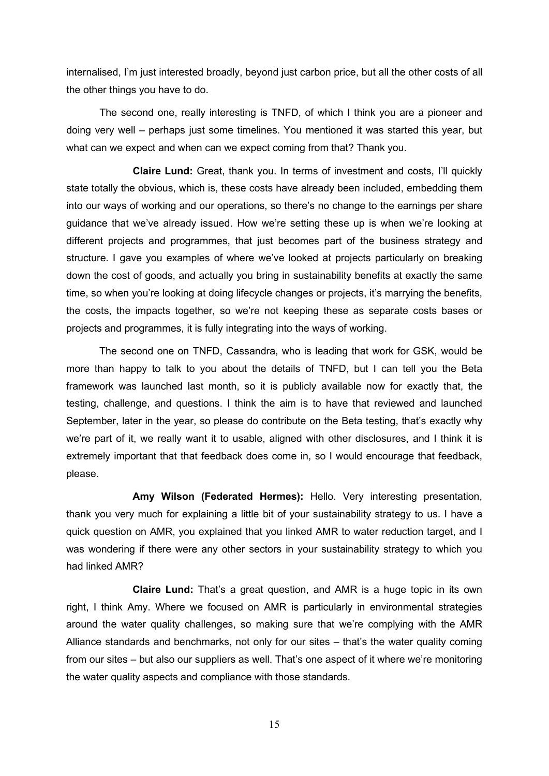internalised, I'm just interested broadly, beyond just carbon price, but all the other costs of all the other things you have to do.

The second one, really interesting is TNFD, of which I think you are a pioneer and doing very well – perhaps just some timelines. You mentioned it was started this year, but what can we expect and when can we expect coming from that? Thank you.

**Claire Lund:** Great, thank you. In terms of investment and costs, I'll quickly state totally the obvious, which is, these costs have already been included, embedding them into our ways of working and our operations, so there's no change to the earnings per share guidance that we've already issued. How we're setting these up is when we're looking at different projects and programmes, that just becomes part of the business strategy and structure. I gave you examples of where we've looked at projects particularly on breaking down the cost of goods, and actually you bring in sustainability benefits at exactly the same time, so when you're looking at doing lifecycle changes or projects, it's marrying the benefits, the costs, the impacts together, so we're not keeping these as separate costs bases or projects and programmes, it is fully integrating into the ways of working.

The second one on TNFD, Cassandra, who is leading that work for GSK, would be more than happy to talk to you about the details of TNFD, but I can tell you the Beta framework was launched last month, so it is publicly available now for exactly that, the testing, challenge, and questions. I think the aim is to have that reviewed and launched September, later in the year, so please do contribute on the Beta testing, that's exactly why we're part of it, we really want it to usable, aligned with other disclosures, and I think it is extremely important that that feedback does come in, so I would encourage that feedback, please.

**Amy Wilson (Federated Hermes):** Hello. Very interesting presentation, thank you very much for explaining a little bit of your sustainability strategy to us. I have a quick question on AMR, you explained that you linked AMR to water reduction target, and I was wondering if there were any other sectors in your sustainability strategy to which you had linked AMR?

**Claire Lund:** That's a great question, and AMR is a huge topic in its own right, I think Amy. Where we focused on AMR is particularly in environmental strategies around the water quality challenges, so making sure that we're complying with the AMR Alliance standards and benchmarks, not only for our sites – that's the water quality coming from our sites – but also our suppliers as well. That's one aspect of it where we're monitoring the water quality aspects and compliance with those standards.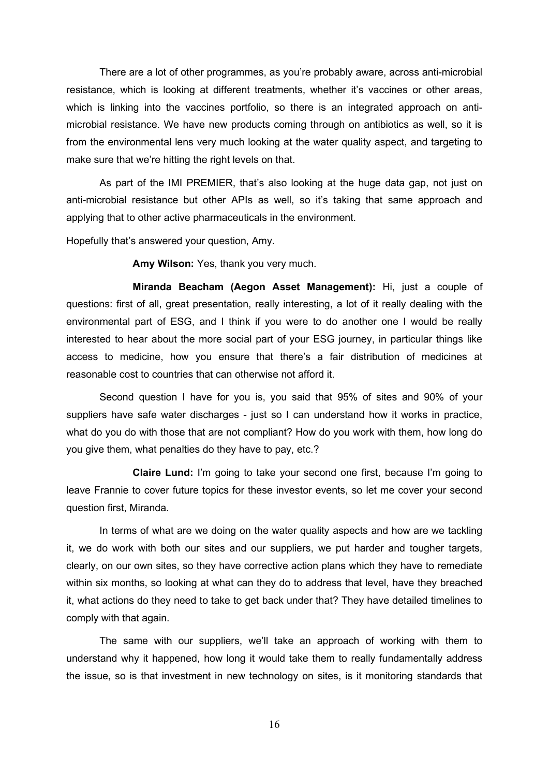There are a lot of other programmes, as you're probably aware, across anti-microbial resistance, which is looking at different treatments, whether it's vaccines or other areas, which is linking into the vaccines portfolio, so there is an integrated approach on antimicrobial resistance. We have new products coming through on antibiotics as well, so it is from the environmental lens very much looking at the water quality aspect, and targeting to make sure that we're hitting the right levels on that.

As part of the IMI PREMIER, that's also looking at the huge data gap, not just on anti-microbial resistance but other APIs as well, so it's taking that same approach and applying that to other active pharmaceuticals in the environment.

Hopefully that's answered your question, Amy.

**Amy Wilson:** Yes, thank you very much.

**Miranda Beacham (Aegon Asset Management):** Hi, just a couple of questions: first of all, great presentation, really interesting, a lot of it really dealing with the environmental part of ESG, and I think if you were to do another one I would be really interested to hear about the more social part of your ESG journey, in particular things like access to medicine, how you ensure that there's a fair distribution of medicines at reasonable cost to countries that can otherwise not afford it.

Second question I have for you is, you said that 95% of sites and 90% of your suppliers have safe water discharges - just so I can understand how it works in practice, what do you do with those that are not compliant? How do you work with them, how long do you give them, what penalties do they have to pay, etc.?

**Claire Lund:** I'm going to take your second one first, because I'm going to leave Frannie to cover future topics for these investor events, so let me cover your second question first, Miranda.

In terms of what are we doing on the water quality aspects and how are we tackling it, we do work with both our sites and our suppliers, we put harder and tougher targets, clearly, on our own sites, so they have corrective action plans which they have to remediate within six months, so looking at what can they do to address that level, have they breached it, what actions do they need to take to get back under that? They have detailed timelines to comply with that again.

The same with our suppliers, we'll take an approach of working with them to understand why it happened, how long it would take them to really fundamentally address the issue, so is that investment in new technology on sites, is it monitoring standards that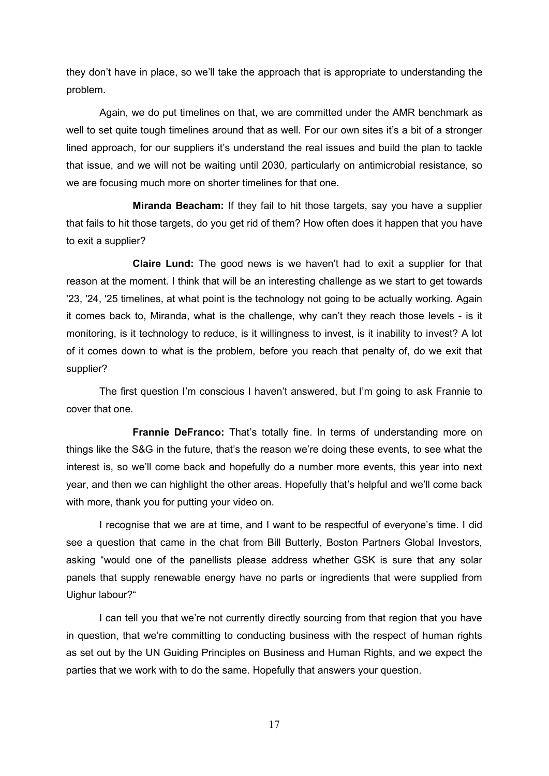they don't have in place, so we'll take the approach that is appropriate to understanding the problem.

Again, we do put timelines on that, we are committed under the AMR benchmark as well to set quite tough timelines around that as well. For our own sites it's a bit of a stronger lined approach, for our suppliers it's understand the real issues and build the plan to tackle that issue, and we will not be waiting until 2030, particularly on antimicrobial resistance, so we are focusing much more on shorter timelines for that one.

**Miranda Beacham:** If they fail to hit those targets, say you have a supplier that fails to hit those targets, do you get rid of them? How often does it happen that you have to exit a supplier?

**Claire Lund:** The good news is we haven't had to exit a supplier for that reason at the moment. I think that will be an interesting challenge as we start to get towards '23, '24, '25 timelines, at what point is the technology not going to be actually working. Again it comes back to, Miranda, what is the challenge, why can't they reach those levels - is it monitoring, is it technology to reduce, is it willingness to invest, is it inability to invest? A lot of it comes down to what is the problem, before you reach that penalty of, do we exit that supplier?

The first question I'm conscious I haven't answered, but I'm going to ask Frannie to cover that one.

**Frannie DeFranco:** That's totally fine. In terms of understanding more on things like the S&G in the future, that's the reason we're doing these events, to see what the interest is, so we'll come back and hopefully do a number more events, this year into next year, and then we can highlight the other areas. Hopefully that's helpful and we'll come back with more, thank you for putting your video on.

I recognise that we are at time, and I want to be respectful of everyone's time. I did see a question that came in the chat from Bill Butterly, Boston Partners Global Investors, asking "would one of the panellists please address whether GSK is sure that any solar panels that supply renewable energy have no parts or ingredients that were supplied from Uighur labour?"

I can tell you that we're not currently directly sourcing from that region that you have in question, that we're committing to conducting business with the respect of human rights as set out by the UN Guiding Principles on Business and Human Rights, and we expect the parties that we work with to do the same. Hopefully that answers your question.